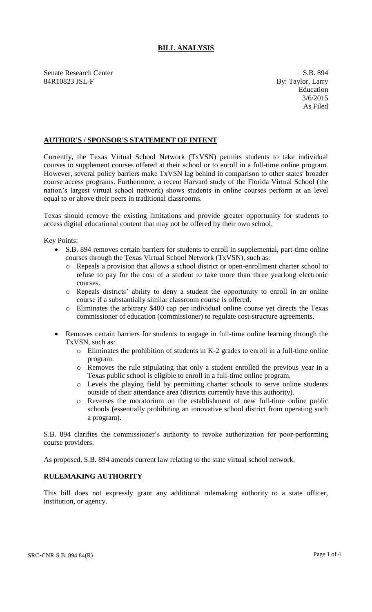## **BILL ANALYSIS**

Senate Research Center S.B. 894 84R10823 JSL-F By: Taylor, Larry

Education 3/6/2015 As Filed

## **AUTHOR'S / SPONSOR'S STATEMENT OF INTENT**

Currently, the Texas Virtual School Network (TxVSN) permits students to take individual courses to supplement courses offered at their school or to enroll in a full-time online program. However, several policy barriers make TxVSN lag behind in comparison to other states' broader course access programs. Furthermore, a recent Harvard study of the Florida Virtual School (the nation's largest virtual school network) shows students in online courses perform at an level equal to or above their peers in traditional classrooms.

Texas should remove the existing limitations and provide greater opportunity for students to access digital educational content that may not be offered by their own school.

Key Points:

- S.B. 894 removes certain barriers for students to enroll in supplemental, part-time online courses through the Texas Virtual School Network (TxVSN), such as:
	- o Repeals a provision that allows a school district or open-enrollment charter school to refuse to pay for the cost of a student to take more than three yearlong electronic courses.
	- o Repeals districts' ability to deny a student the opportunity to enroll in an online course if a substantially similar classroom course is offered.
	- o Eliminates the arbitrary \$400 cap per individual online course yet directs the Texas commissioner of education (commissioner) to regulate cost-structure agreements.
- Removes certain barriers for students to engage in full-time online learning through the TxVSN, such as:
	- o Eliminates the prohibition of students in K-2 grades to enroll in a full-time online program.
	- o Removes the rule stipulating that only a student enrolled the previous year in a Texas public school is eligible to enroll in a full-time online program.
	- o Levels the playing field by permitting charter schools to serve online students outside of their attendance area (districts currently have this authority).
	- o Reverses the moratorium on the establishment of new full-time online public schools (essentially prohibiting an innovative school district from operating such a program).

S.B. 894 clarifies the commissioner's authority to revoke authorization for poor-performing course providers.

As proposed, S.B. 894 amends current law relating to the state virtual school network.

## **RULEMAKING AUTHORITY**

This bill does not expressly grant any additional rulemaking authority to a state officer, institution, or agency.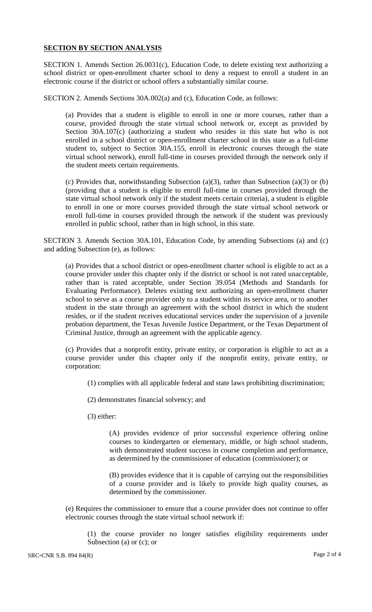## **SECTION BY SECTION ANALYSIS**

SECTION 1. Amends Section 26.0031(c), Education Code, to delete existing text authorizing a school district or open-enrollment charter school to deny a request to enroll a student in an electronic course if the district or school offers a substantially similar course.

SECTION 2. Amends Sections 30A.002(a) and (c), Education Code, as follows:

(a) Provides that a student is eligible to enroll in one or more courses, rather than a course, provided through the state virtual school network or, except as provided by Section 30A.107(c) (authorizing a student who resides in this state but who is not enrolled in a school district or open-enrollment charter school in this state as a full-time student to, subject to Section 30A.155, enroll in electronic courses through the state virtual school network), enroll full-time in courses provided through the network only if the student meets certain requirements.

(c) Provides that, notwithstanding Subsection (a)(3), rather than Subsection (a)(3) or (b) (providing that a student is eligible to enroll full-time in courses provided through the state virtual school network only if the student meets certain criteria), a student is eligible to enroll in one or more courses provided through the state virtual school network or enroll full-time in courses provided through the network if the student was previously enrolled in public school, rather than in high school, in this state.

SECTION 3. Amends Section 30A.101, Education Code, by amending Subsections (a) and (c) and adding Subsection (e), as follows:

(a) Provides that a school district or open-enrollment charter school is eligible to act as a course provider under this chapter only if the district or school is not rated unacceptable, rather than is rated acceptable, under Section 39.054 (Methods and Standards for Evaluating Performance). Deletes existing text authorizing an open-enrollment charter school to serve as a course provider only to a student within its service area, or to another student in the state through an agreement with the school district in which the student resides, or if the student receives educational services under the supervision of a juvenile probation department, the Texas Juvenile Justice Department, or the Texas Department of Criminal Justice, through an agreement with the applicable agency.

(c) Provides that a nonprofit entity, private entity, or corporation is eligible to act as a course provider under this chapter only if the nonprofit entity, private entity, or corporation:

(1) complies with all applicable federal and state laws prohibiting discrimination;

(2) demonstrates financial solvency; and

(3) either:

(A) provides evidence of prior successful experience offering online courses to kindergarten or elementary, middle, or high school students, with demonstrated student success in course completion and performance, as determined by the commissioner of education (commissioner); or

(B) provides evidence that it is capable of carrying out the responsibilities of a course provider and is likely to provide high quality courses, as determined by the commissioner.

(e) Requires the commissioner to ensure that a course provider does not continue to offer electronic courses through the state virtual school network if:

(1) the course provider no longer satisfies eligibility requirements under Subsection (a) or (c); or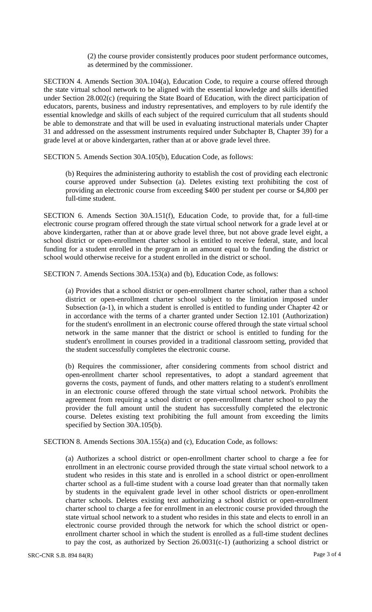(2) the course provider consistently produces poor student performance outcomes, as determined by the commissioner.

SECTION 4. Amends Section 30A.104(a), Education Code, to require a course offered through the state virtual school network to be aligned with the essential knowledge and skills identified under Section 28.002(c) (requiring the State Board of Education, with the direct participation of educators, parents, business and industry representatives, and employers to by rule identify the essential knowledge and skills of each subject of the required curriculum that all students should be able to demonstrate and that will be used in evaluating instructional materials under Chapter 31 and addressed on the assessment instruments required under Subchapter B, Chapter 39) for a grade level at or above kindergarten, rather than at or above grade level three.

SECTION 5. Amends Section 30A.105(b), Education Code, as follows:

(b) Requires the administering authority to establish the cost of providing each electronic course approved under Subsection (a). Deletes existing text prohibiting the cost of providing an electronic course from exceeding \$400 per student per course or \$4,800 per full-time student.

SECTION 6. Amends Section 30A.151(f), Education Code, to provide that, for a full-time electronic course program offered through the state virtual school network for a grade level at or above kindergarten, rather than at or above grade level three, but not above grade level eight, a school district or open-enrollment charter school is entitled to receive federal, state, and local funding for a student enrolled in the program in an amount equal to the funding the district or school would otherwise receive for a student enrolled in the district or school.

SECTION 7. Amends Sections 30A.153(a) and (b), Education Code, as follows:

(a) Provides that a school district or open-enrollment charter school, rather than a school district or open-enrollment charter school subject to the limitation imposed under Subsection (a-1), in which a student is enrolled is entitled to funding under Chapter 42 or in accordance with the terms of a charter granted under Section 12.101 (Authorization) for the student's enrollment in an electronic course offered through the state virtual school network in the same manner that the district or school is entitled to funding for the student's enrollment in courses provided in a traditional classroom setting, provided that the student successfully completes the electronic course.

(b) Requires the commissioner, after considering comments from school district and open-enrollment charter school representatives, to adopt a standard agreement that governs the costs, payment of funds, and other matters relating to a student's enrollment in an electronic course offered through the state virtual school network. Prohibits the agreement from requiring a school district or open-enrollment charter school to pay the provider the full amount until the student has successfully completed the electronic course. Deletes existing text prohibiting the full amount from exceeding the limits specified by Section 30A.105(b).

SECTION 8. Amends Sections 30A.155(a) and (c), Education Code, as follows:

(a) Authorizes a school district or open-enrollment charter school to charge a fee for enrollment in an electronic course provided through the state virtual school network to a student who resides in this state and is enrolled in a school district or open-enrollment charter school as a full-time student with a course load greater than that normally taken by students in the equivalent grade level in other school districts or open-enrollment charter schools. Deletes existing text authorizing a school district or open-enrollment charter school to charge a fee for enrollment in an electronic course provided through the state virtual school network to a student who resides in this state and elects to enroll in an electronic course provided through the network for which the school district or openenrollment charter school in which the student is enrolled as a full-time student declines to pay the cost, as authorized by Section 26.0031(c-1) (authorizing a school district or